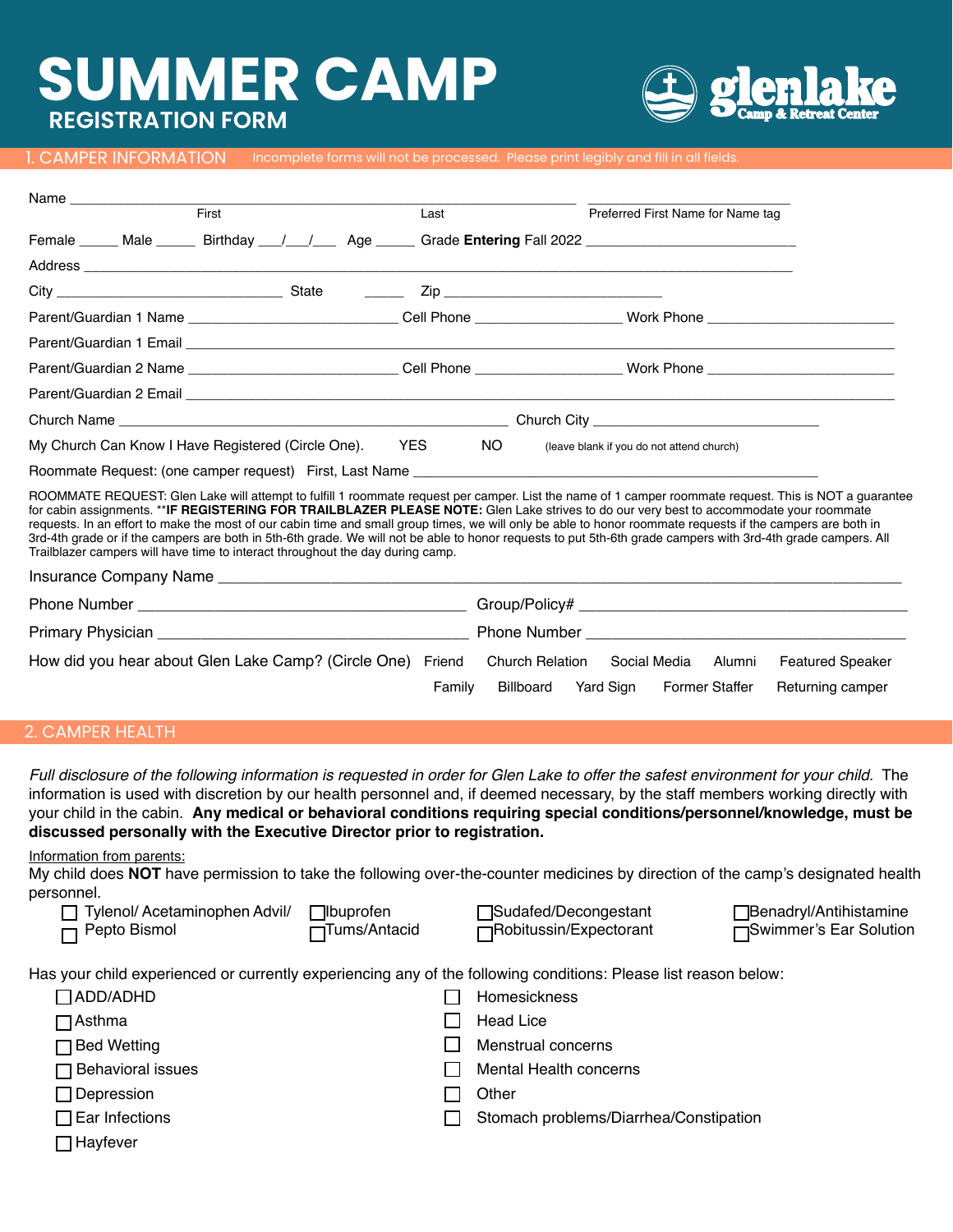# **JMMER CAMP REGISTRATION FORM**



1. CAMPER INFORMATION Incomplete forms will not be processed. Please print legibly and fill in all fields.

| First                                                                          |  |  | Last       |     | Preferred First Name for Name tag |                                                                                                                                                                                                                                                                                                                                                                                                                                                                                                                                                                                                                                   |                         |
|--------------------------------------------------------------------------------|--|--|------------|-----|-----------------------------------|-----------------------------------------------------------------------------------------------------------------------------------------------------------------------------------------------------------------------------------------------------------------------------------------------------------------------------------------------------------------------------------------------------------------------------------------------------------------------------------------------------------------------------------------------------------------------------------------------------------------------------------|-------------------------|
|                                                                                |  |  |            |     |                                   | Female ______ Male _______ Birthday ___/ ___/ ____ Age ______ Grade Entering Fall 2022 _______________________                                                                                                                                                                                                                                                                                                                                                                                                                                                                                                                    |                         |
|                                                                                |  |  |            |     |                                   |                                                                                                                                                                                                                                                                                                                                                                                                                                                                                                                                                                                                                                   |                         |
|                                                                                |  |  |            |     |                                   |                                                                                                                                                                                                                                                                                                                                                                                                                                                                                                                                                                                                                                   |                         |
|                                                                                |  |  |            |     |                                   | Parent/Guardian 1 Name ______________________________Cell Phone __________________Work Phone _______________________                                                                                                                                                                                                                                                                                                                                                                                                                                                                                                              |                         |
|                                                                                |  |  |            |     |                                   |                                                                                                                                                                                                                                                                                                                                                                                                                                                                                                                                                                                                                                   |                         |
|                                                                                |  |  |            |     |                                   |                                                                                                                                                                                                                                                                                                                                                                                                                                                                                                                                                                                                                                   |                         |
|                                                                                |  |  |            |     |                                   |                                                                                                                                                                                                                                                                                                                                                                                                                                                                                                                                                                                                                                   |                         |
|                                                                                |  |  |            |     |                                   |                                                                                                                                                                                                                                                                                                                                                                                                                                                                                                                                                                                                                                   |                         |
| My Church Can Know I Have Registered (Circle One).                             |  |  | <b>YES</b> | NO. |                                   | (leave blank if you do not attend church)                                                                                                                                                                                                                                                                                                                                                                                                                                                                                                                                                                                         |                         |
|                                                                                |  |  |            |     |                                   |                                                                                                                                                                                                                                                                                                                                                                                                                                                                                                                                                                                                                                   |                         |
| Trailblazer campers will have time to interact throughout the day during camp. |  |  |            |     |                                   | ROOMMATE REQUEST: Glen Lake will attempt to fulfill 1 roommate request per camper. List the name of 1 camper roommate request. This is NOT a guarantee<br>for cabin assignments. **IF REGISTERING FOR TRAILBLAZER PLEASE NOTE: Glen Lake strives to do our very best to accommodate your roommate<br>requests. In an effort to make the most of our cabin time and small group times, we will only be able to honor roommate requests if the campers are both in<br>3rd-4th grade or if the campers are both in 5th-6th grade. We will not be able to honor requests to put 5th-6th grade campers with 3rd-4th grade campers. All |                         |
|                                                                                |  |  |            |     |                                   |                                                                                                                                                                                                                                                                                                                                                                                                                                                                                                                                                                                                                                   |                         |
|                                                                                |  |  |            |     |                                   |                                                                                                                                                                                                                                                                                                                                                                                                                                                                                                                                                                                                                                   |                         |
|                                                                                |  |  |            |     |                                   |                                                                                                                                                                                                                                                                                                                                                                                                                                                                                                                                                                                                                                   |                         |
| How did you hear about Glen Lake Camp? (Circle One) Friend                     |  |  |            |     | <b>Church Relation</b>            | Social Media<br>Alumni                                                                                                                                                                                                                                                                                                                                                                                                                                                                                                                                                                                                            | <b>Featured Speaker</b> |

#### 2. CAMPER HEALTH

*Full disclosure of the following information is requested in order for Glen Lake to offer the safest environment for your child.* The information is used with discretion by our health personnel and, if deemed necessary, by the staff members working directly with your child in the cabin. **Any medical or behavioral conditions requiring special conditions/personnel/knowledge, must be discussed personally with the Executive Director prior to registration.**

Information from parents:

ŗ,

My child does **NOT** have permission to take the following over-the-counter medicines by direction of the camp's designated health personnel. l/ Acetaminophen Advil/ Ibuprofen Sudafed/Decongestant **Benadryl/Antihistamine** 

| Iylenol/ Acetamınophen Advil/ | Ibuprof       |
|-------------------------------|---------------|
| $\Box$ Pepto Bismol           | $\Box$ Tums/A |

| stant |  |
|-------|--|
| orant |  |

Family Billboard Yard Sign Former Staffer Returning camper

Antacid **Fight** Tumbol Tumbol Tumbol Tumbol Tumbol Tumbol Tumbol Tumbol Tumbol Tumbol Tumbol Tumbol Tumbol Tumbol Tumbol Tumbol Tumbol Tumbol Tumbol Tumbol Tumbol Tumbol Tumbol Tumbol Tumbol Tumbol Tumbol Tumbol Tumbol Tu

|  |  | Has your child experienced or currently experiencing any of the following conditions: Please list reason below: |  |  |
|--|--|-----------------------------------------------------------------------------------------------------------------|--|--|
|  |  |                                                                                                                 |  |  |
|  |  |                                                                                                                 |  |  |

| $\Box$ ADD/ADHD       | Homesickness                           |
|-----------------------|----------------------------------------|
| $\sqcap$ Asthma       | <b>Head Lice</b>                       |
| □ Bed Wetting         | Menstrual concerns                     |
| □ Behavioral issues   | Mental Health concerns                 |
| $\Box$ Depression     | Other                                  |
| $\Box$ Ear Infections | Stomach problems/Diarrhea/Constipation |
| ] Hayfever            |                                        |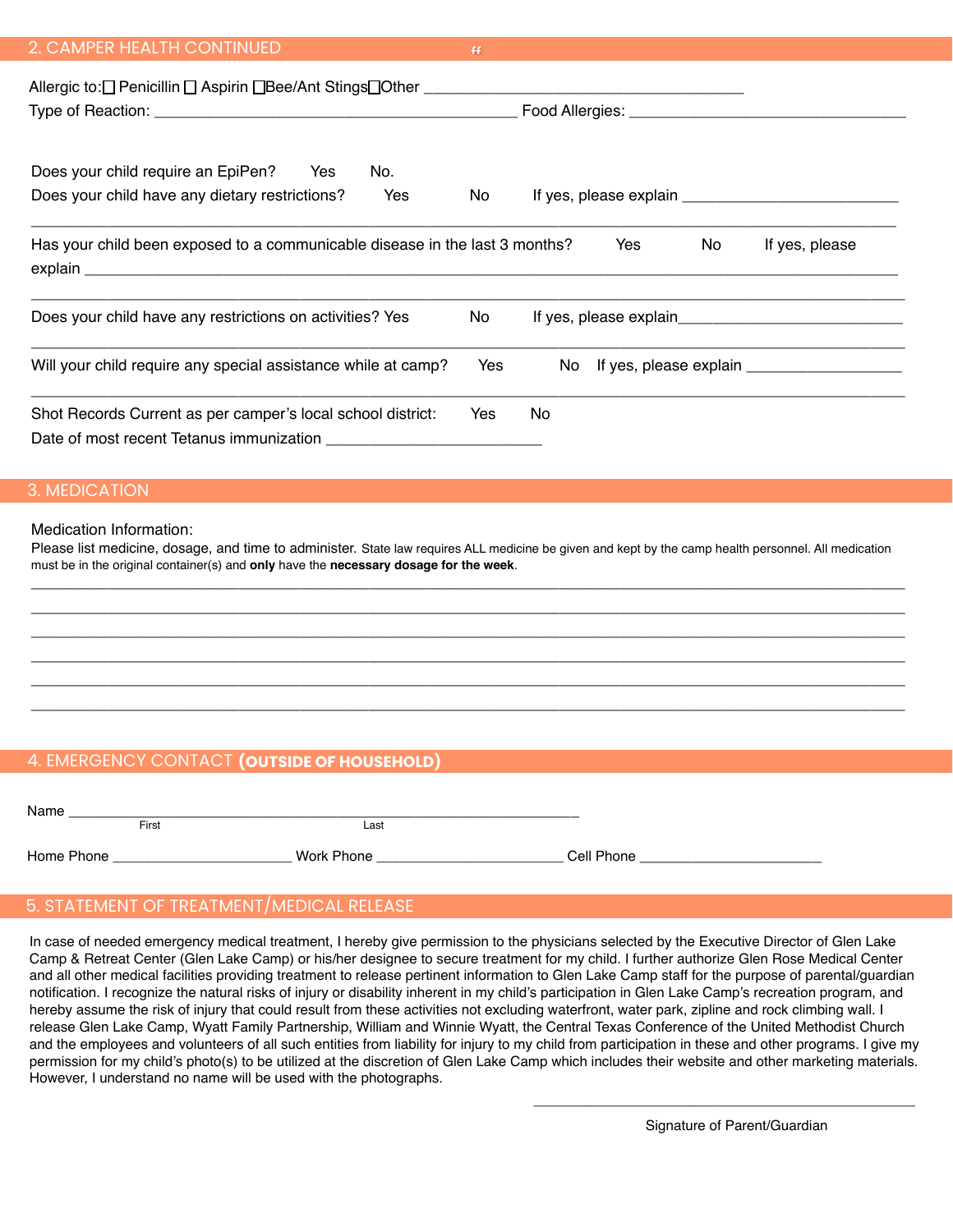| 2. CAMPER HEALTH CONTINUED |  |
|----------------------------|--|
|                            |  |

| Allergic to: Denicillin D Aspirin DBee/Ant StingsDOther ________________________                        |     | Food Allergies: _______________________ |     |                |
|---------------------------------------------------------------------------------------------------------|-----|-----------------------------------------|-----|----------------|
| Does your child require an EpiPen? Yes<br>No.<br>Does your child have any dietary restrictions?<br>Yes  | No  | If yes, please explain $\sqrt{2}$       |     |                |
| Has your child been exposed to a communicable disease in the last 3 months?                             |     | Yes                                     | No. | If yes, please |
| Does your child have any restrictions on activities? Yes                                                | No. |                                         |     |                |
| Will your child require any special assistance while at camp?                                           | Yes | No.                                     |     |                |
| Shot Records Current as per camper's local school district:<br>Date of most recent Tetanus immunization | Yes | No.                                     |     |                |

#### 3. MEDICATION

#### Medication Information:

Please list medicine, dosage, and time to administer. State law requires ALL medicine be given and kept by the camp health personnel. All medication must be in the original container(s) and **only** have the **necessary dosage for the week**. \_\_\_\_\_\_\_\_\_\_\_\_\_\_\_\_\_\_\_\_\_\_\_\_\_\_\_\_\_\_\_\_\_\_\_\_\_\_\_\_\_\_\_\_\_\_\_\_\_\_\_\_\_\_\_\_\_\_\_\_\_\_\_\_\_\_\_\_\_\_\_\_\_\_\_\_\_\_\_\_\_\_\_\_\_\_\_\_\_\_\_\_\_\_\_\_\_\_\_\_\_

\_\_\_\_\_\_\_\_\_\_\_\_\_\_\_\_\_\_\_\_\_\_\_\_\_\_\_\_\_\_\_\_\_\_\_\_\_\_\_\_\_\_\_\_\_\_\_\_\_\_\_\_\_\_\_\_\_\_\_\_\_\_\_\_\_\_\_\_\_\_\_\_\_\_\_\_\_\_\_\_\_\_\_\_\_\_\_\_\_\_\_\_\_\_\_\_\_\_\_\_\_ \_\_\_\_\_\_\_\_\_\_\_\_\_\_\_\_\_\_\_\_\_\_\_\_\_\_\_\_\_\_\_\_\_\_\_\_\_\_\_\_\_\_\_\_\_\_\_\_\_\_\_\_\_\_\_\_\_\_\_\_\_\_\_\_\_\_\_\_\_\_\_\_\_\_\_\_\_\_\_\_\_\_\_\_\_\_\_\_\_\_\_\_\_\_\_\_\_\_\_\_\_ \_\_\_\_\_\_\_\_\_\_\_\_\_\_\_\_\_\_\_\_\_\_\_\_\_\_\_\_\_\_\_\_\_\_\_\_\_\_\_\_\_\_\_\_\_\_\_\_\_\_\_\_\_\_\_\_\_\_\_\_\_\_\_\_\_\_\_\_\_\_\_\_\_\_\_\_\_\_\_\_\_\_\_\_\_\_\_\_\_\_\_\_\_\_\_\_\_\_\_\_\_ \_\_\_\_\_\_\_\_\_\_\_\_\_\_\_\_\_\_\_\_\_\_\_\_\_\_\_\_\_\_\_\_\_\_\_\_\_\_\_\_\_\_\_\_\_\_\_\_\_\_\_\_\_\_\_\_\_\_\_\_\_\_\_\_\_\_\_\_\_\_\_\_\_\_\_\_\_\_\_\_\_\_\_\_\_\_\_\_\_\_\_\_\_\_\_\_\_\_\_\_\_ \_\_\_\_\_\_\_\_\_\_\_\_\_\_\_\_\_\_\_\_\_\_\_\_\_\_\_\_\_\_\_\_\_\_\_\_\_\_\_\_\_\_\_\_\_\_\_\_\_\_\_\_\_\_\_\_\_\_\_\_\_\_\_\_\_\_\_\_\_\_\_\_\_\_\_\_\_\_\_\_\_\_\_\_\_\_\_\_\_\_\_\_\_\_\_\_\_\_\_\_\_

## 4. EMERGENCY CONTACT **(OUTSIDE OF HOUSEHOLD)**

| Name       |       |            |            |
|------------|-------|------------|------------|
|            | First | Last       |            |
| Home Phone |       | Work Phone | Cell Phone |

## 5. STATEMENT OF TREATMENT/MEDICAL RELEASE

In case of needed emergency medical treatment, I hereby give permission to the physicians selected by the Executive Director of Glen Lake Camp & Retreat Center (Glen Lake Camp) or his/her designee to secure treatment for my child. I further authorize Glen Rose Medical Center and all other medical facilities providing treatment to release pertinent information to Glen Lake Camp staff for the purpose of parental/guardian notification. I recognize the natural risks of injury or disability inherent in my child's participation in Glen Lake Camp's recreation program, and hereby assume the risk of injury that could result from these activities not excluding waterfront, water park, zipline and rock climbing wall. I release Glen Lake Camp, Wyatt Family Partnership, William and Winnie Wyatt, the Central Texas Conference of the United Methodist Church and the employees and volunteers of all such entities from liability for injury to my child from participation in these and other programs. I give my permission for my child's photo(s) to be utilized at the discretion of Glen Lake Camp which includes their website and other marketing materials. However, I understand no name will be used with the photographs.

\_\_\_\_\_\_\_\_\_\_\_\_\_\_\_\_\_\_\_\_\_\_\_\_\_\_\_\_\_\_\_\_\_\_\_\_\_\_\_\_\_\_\_\_\_\_\_\_\_